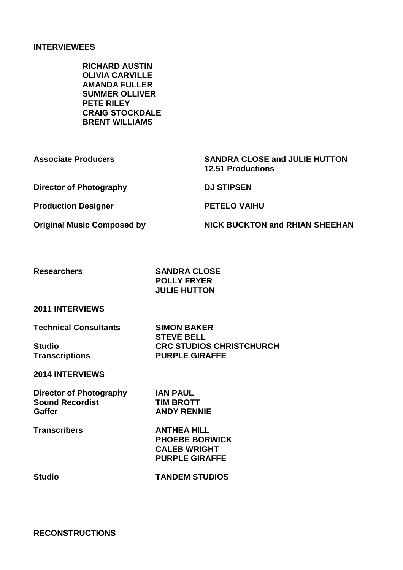## **INTERVIEWEES**

**RICHARD AUSTIN OLIVIA CARVILLE AMANDA FULLER SUMMER OLLIVER PETE RILEY CRAIG STOCKDALE BRENT WILLIAMS**

**Associate Producers SANDRA CLOSE and JULIE HUTTON Director of Photography DJ STIPSEN** 

**Production Designer PETELO VAIHU**

**12.51 Productions**

**Original Music Composed by NICK BUCKTON and RHIAN SHEEHAN**

**Researchers SANDRA CLOSE POLLY FRYER JULIE HUTTON**

**2011 INTERVIEWS**

**Technical Consultants SIMON BAKER**

**STEVE BELL Studio CRC STUDIOS CHRISTCHURCH Transcriptions PURPLE GIRAFFE**

**2014 INTERVIEWS**

**Director of Photography IAN PAUL Sound Recordist TIM BROTT Gaffer ANDY RENNIE**

**Transcribers ANTHEA HILL PHOEBE BORWICK CALEB WRIGHT PURPLE GIRAFFE**

**Studio TANDEM STUDIOS**

**RECONSTRUCTIONS**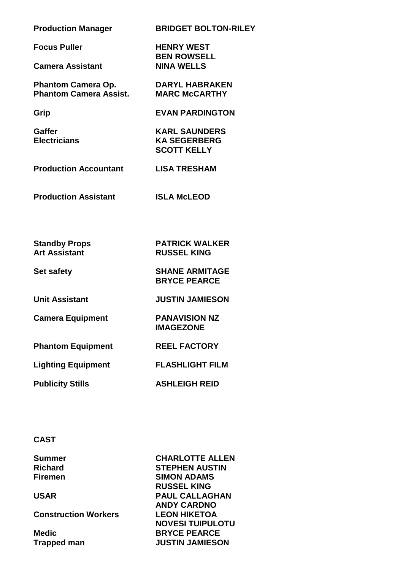**Production Manager BRIDGET BOLTON-RILEY**

**Focus Puller HENRY WEST**

**Camera Assistant NINA WELLS**

**Phantom Camera Op. DARYL HABRAKEN**<br>**Phantom Camera Assist. MARC McCARTHY Phantom Camera Assist.** 

**Grip EVAN PARDINGTON**

**BEN ROWSELL**

**Gaffer KARL SAUNDERS Electricians KA SEGERBERG SCOTT KELLY**

**Production Accountant LISA TRESHAM**

**Production Assistant ISLA McLEOD**

**Standby Props PATRICK WALKER**

**Art Assistant RUSSEL KING**

**BRYCE PEARCE**

**IMAGEZONE**

**Set safety SHANE ARMITAGE**

**Unit Assistant JUSTIN JAMIESON**

**Camera Equipment PANAVISION NZ** 

**Phantom Equipment REEL FACTORY**

**Lighting Equipment FLASHLIGHT FILM**

**Publicity Stills ASHLEIGH REID**

#### **CAST**

**Construction Workers LEON HIKETOA**

**Summer CHARLOTTE ALLEN Richard STEPHEN AUSTIN** Firemen SIMON ADAMS **RUSSEL KING USAR PAUL CALLAGHAN ANDY CARDNO NOVESI TUIPULOTU Medic BRYCE PEARCE Trapped man JUSTIN JAMIESON**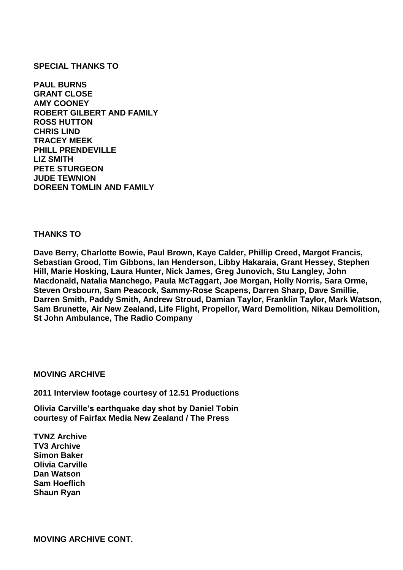### **SPECIAL THANKS TO**

**PAUL BURNS GRANT CLOSE AMY COONEY ROBERT GILBERT AND FAMILY ROSS HUTTON CHRIS LIND TRACEY MEEK PHILL PRENDEVILLE LIZ SMITH PETE STURGEON JUDE TEWNION DOREEN TOMLIN AND FAMILY**

### **THANKS TO**

**Dave Berry, Charlotte Bowie, Paul Brown, Kaye Calder, Phillip Creed, Margot Francis, Sebastian Grood, Tim Gibbons, Ian Henderson, Libby Hakaraia, Grant Hessey, Stephen Hill, Marie Hosking, Laura Hunter, Nick James, Greg Junovich, Stu Langley, John Macdonald, Natalia Manchego, Paula McTaggart, Joe Morgan, Holly Norris, Sara Orme, Steven Orsbourn, Sam Peacock, Sammy-Rose Scapens, Darren Sharp, Dave Smillie, Darren Smith, Paddy Smith, Andrew Stroud, Damian Taylor, Franklin Taylor, Mark Watson, Sam Brunette, Air New Zealand, Life Flight, Propellor, Ward Demolition, Nikau Demolition, St John Ambulance, The Radio Company**

### **MOVING ARCHIVE**

**2011 Interview footage courtesy of 12.51 Productions**

**Olivia Carville's earthquake day shot by Daniel Tobin courtesy of Fairfax Media New Zealand / The Press**

**TVNZ Archive TV3 Archive Simon Baker Olivia Carville Dan Watson Sam Hoeflich Shaun Ryan**

**MOVING ARCHIVE CONT.**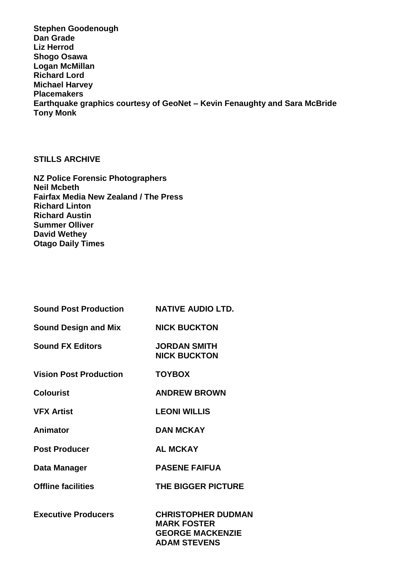**Stephen Goodenough Dan Grade Liz Herrod Shogo Osawa Logan McMillan Richard Lord Michael Harvey Placemakers Earthquake graphics courtesy of GeoNet – Kevin Fenaughty and Sara McBride Tony Monk**

# **STILLS ARCHIVE**

**NZ Police Forensic Photographers Neil Mcbeth Fairfax Media New Zealand / The Press Richard Linton Richard Austin Summer Olliver David Wethey Otago Daily Times**

| <b>Sound Post Production</b>  | <b>NATIVE AUDIO LTD.</b>                                                                          |
|-------------------------------|---------------------------------------------------------------------------------------------------|
| <b>Sound Design and Mix</b>   | <b>NICK BUCKTON</b>                                                                               |
| <b>Sound FX Editors</b>       | <b>JORDAN SMITH</b><br><b>NICK BUCKTON</b>                                                        |
| <b>Vision Post Production</b> | <b>TOYBOX</b>                                                                                     |
| <b>Colourist</b>              | <b>ANDREW BROWN</b>                                                                               |
| <b>VFX Artist</b>             | <b>LEONI WILLIS</b>                                                                               |
| Animator                      | <b>DAN MCKAY</b>                                                                                  |
| <b>Post Producer</b>          | <b>AL MCKAY</b>                                                                                   |
| Data Manager                  | <b>PASENE FAIFUA</b>                                                                              |
| <b>Offline facilities</b>     | <b>THE BIGGER PICTURE</b>                                                                         |
| <b>Executive Producers</b>    | <b>CHRISTOPHER DUDMAN</b><br><b>MARK FOSTER</b><br><b>GEORGE MACKENZIE</b><br><b>ADAM STEVENS</b> |